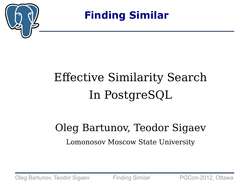

**Finding Similar**

# Effective Similarity Search In PostgreSQL

#### Oleg Bartunov, Teodor Sigaev Lomonosov Moscow State University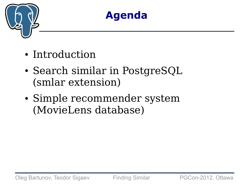

#### **Agenda**

- Introduction
- Search similar in PostgreSQL (smlar extension)
- Simple recommender system (MovieLens database)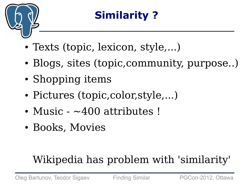

### **Similarity ?**

- Texts (topic, lexicon, style,...)
- Blogs, sites (topic, community, purpose..)
- Shopping items
- Pictures (topic, color, style,...)
- Music  $-400$  attributes !
- Books, Movies

## Wikipedia has problem with 'similarity'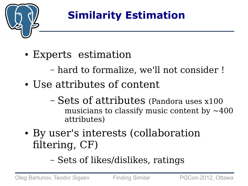

## **Similarity Estimation**

- Experts estimation
	- hard to formalize, we'll not consider !
- Use attributes of content
	- Sets of attributes (Pandora uses x100 musicians to classify music content by  $\sim$ 400 attributes)
- By user's interests (collaboration filtering, CF)
	- Sets of likes/dislikes, ratings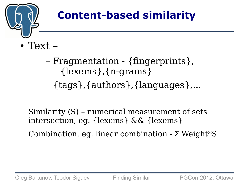

#### **Content-based similarity**

- $\bullet$  Text  $-$ 
	- Fragmentation {fingerprints}, {lexems},{n-grams}
	- {tags},{authors},{languages},...

Similarity (S) – numerical measurement of sets intersection, eg. {lexems} && {lexems}

Combination, eg, linear combination - Σ Weight\*S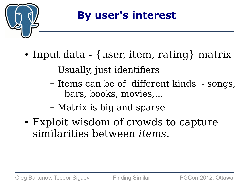

- Input data {user, item, rating} matrix
	- Usually, just identifiers
	- Items can be of different kinds songs, bars, books, movies,...
	- Matrix is big and sparse
- Exploit wisdom of crowds to capture similarities between *items.*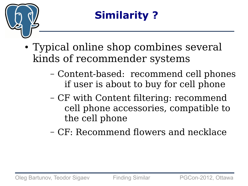

- Typical online shop combines several kinds of recommender systems
	- Content-based: recommend cell phones if user is about to buy for cell phone
	- CF with Content filtering: recommend cell phone accessories, compatible to the cell phone
	- CF: Recommend flowers and necklace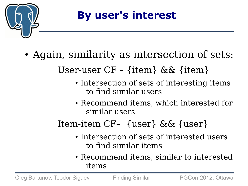

- Again, similarity as intersection of sets:
	- User-user CF {item} && {item}
		- Intersection of sets of interesting items to find similar users
		- Recommend items, which interested for similar users
	- Item-item CF– {user} && {user}
		- Intersection of sets of interested users to find similar items
		- Recommend items, similar to interested items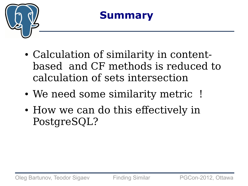

#### **Summary**

- Calculation of similarity in contentbased and CF methods is reduced to calculation of sets intersection
- We need some similarity metric !
- How we can do this effectively in PostgreSQL?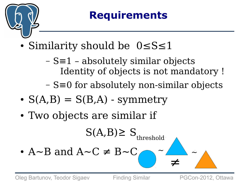

#### **Requirements**

- Similarity should be  $0 \leq S \leq 1$ 
	- S≡1 absolutely similar objects Identity of objects is not mandatory !
	- S≡0 for absolutely non-similar objects
- $S(A,B) = S(B,A)$  symmetry
- Two objects are similar if

$$
S(A, B) \geq S_{\text{threshold}}
$$

•  $A \sim B$  and  $A \sim C \neq B \sim C$ 

≠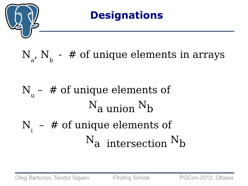

#### N  $_{\mathrm{a^\prime}}$  N  $_{\mathrm{b}}$  -  $\#$  of unique elements in arrays

#### N u – # of unique elements of  $N_a$  union  $N_b$

# $N_i$  – # of unique elements of  $N_a$  intersection  $N_b$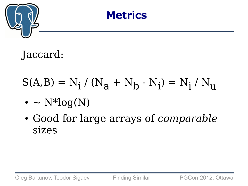



Jaccard:

# $S(A,B) = N_i / (N_a + N_b - N_i) = N_i / N_u$

- $\bullet \sim N^*log(N)$
- Good for large arrays of *comparable* sizes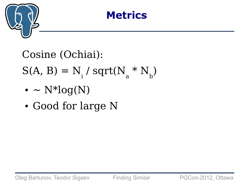

#### **Metrics**

Cosine (Ochiai):  $S(A, B) = N_i / sqrt(N_a * N_b)$ 

- $\bullet \sim N^*log(N)$
- Good for large N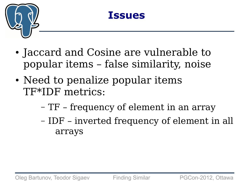

#### **Issues**

- Jaccard and Cosine are vulnerable to popular items – false similarity, noise
- Need to penalize popular items TF\*IDF metrics:
	- TF frequency of element in an array
	- IDF inverted frequency of element in all arrays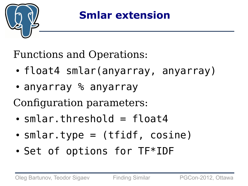

#### **Smlar extension**

Functions and Operations:

- float4 smlar(anyarray, anyarray)
- anyarray % anyarrav

Configuration parameters:

- $\cdot$  smlar.threshold = float4
- $\bullet$  smlar.type = (tfidf, cosine)
- Set of options for TF\*IDF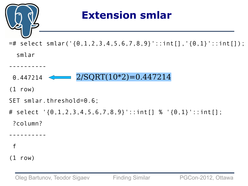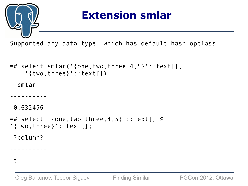

#### **Extension smlar**

Supported any data type, which has default hash opclass

```
=# select smlar('{one,two,three,4,5}'::text[],
     '{two,three}'::text[]);
   smlar 
----------
 0.632456
=# select '{one,two,three,4,5}'::text[] % 
'{two,three}'::text[];
 ?column? 
----------
```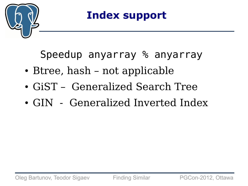

Speedup anyarray % anyarray

- Btree, hash not applicable
- GiST Generalized Search Tree
- GIN Generalized Inverted Index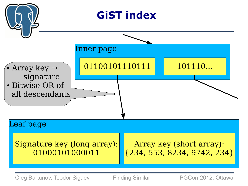

Oleg Bartunov, Teodor Sigaev Finding Similar PGCon-2012, Ottawa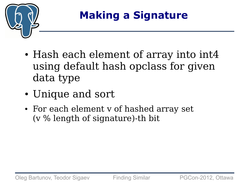

### **Making a Signature**

- Hash each element of array into int4 using default hash opclass for given data type
- Unique and sort
- For each element v of hashed array set (v % length of signature)-th bit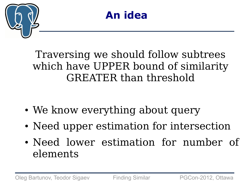



#### Traversing we should follow subtrees which have UPPER bound of similarity GREATER than threshold

- We know everything about query
- Need upper estimation for intersection
- Need lower estimation for number of elements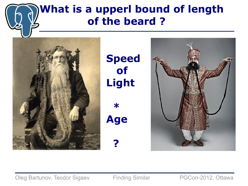#### **What is a upperl bound of length of the beard ?**



**Speed of Light** 

 **\* Age**

 **?**



Oleg Bartunov, Teodor Sigaev Finding Similar PGCon-2012, Ottawa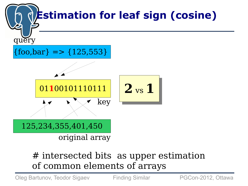

#### # intersected bits as upper estimation of common elements of arrays

Oleg Bartunov, Teodor Sigaev Finding Similar PGCon-2012, Ottawa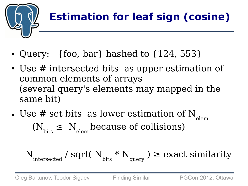

## **Estimation for leaf sign (cosine)**

- Query:  $\{$  foo, bar } hashed to  $\{124, 553\}$
- Use # intersected bits as upper estimation of common elements of arrays (several query's elements may mapped in the same bit)
- Use # set bits as lower estimation of  $N_{\text{elem}}$  $(N_{\text{bits}} \le N_{\text{plan}})$  because of collisions)

$$
N_{\rm interested}
$$
 / sqrt(  $N_{\rm bits} * N_{\rm query}$  )  $\geq$  exact similarity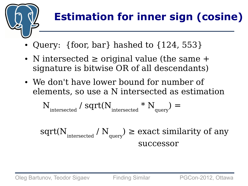

- Query:  $\{$ foor, bar $\}$  hashed to  $\{124, 553\}$
- N intersected  $\geq$  original value (the same  $+$ signature is bitwise OR of all descendants)
- We don't have lower bound for number of elements, so use a N intersected as estimation

$$
N_{\rm interested} / \sqrt{sqrt(N_{\rm interested} * N_{\rm query})} =
$$

 $\operatorname{sqrt}(N_{\text{intersected}}/N_{\text{query}})$  $) \geq$  exact similarity of any successor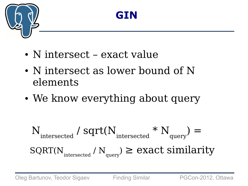



- N intersect exact value
- N intersect as lower bound of N elements
- We know everything about query

$$
N_{\text{intersected}} / \text{sqrt}(N_{\text{intersected}} * N_{\text{query}}) =
$$
  
 
$$
\text{SQRT}(N_{\text{intersected}} / N_{\text{query}}) \ge \text{exact similarity}
$$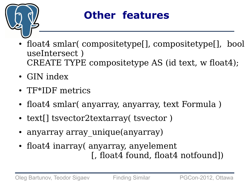

#### **Other features**

- float4 smlar( compositetype[], compositetype[], bool useIntersect ) CREATE TYPE compositetype AS (id text, w float4);
- GIN index
- TF\*IDF metrics
- float4 smlar( anyarray, anyarray, text Formula)
- text[] tsvector2textarray( tsvector)
- anyarray array unique(anyarray)
- float4 inarray( anyarray, anyelement [, float4 found, float4 notfound])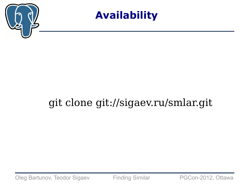



#### git clone git://sigaev.ru/smlar.git

Oleg Bartunov, Teodor Sigaev Finding Similar PGCon-2012, Ottawa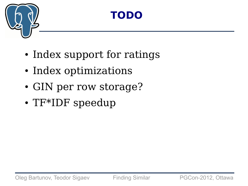

#### **TODO**

- Index support for ratings
- Index optimizations
- GIN per row storage?
- TF\*IDF speedup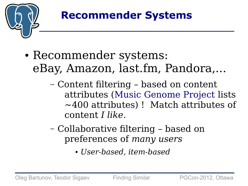

- Recommender systems: eBay, Amazon, last.fm, Pandora,...
	- Content filtering based on content attributes ([Music Genome Project](http://en.wikipedia.org/wiki/List_of_Music_Genome_Project_attributes) lists ~400 attributes) ! Match attributes of content *I like*.
	- Collaborative filtering based on preferences of *many users*
		- *User-based, item-based*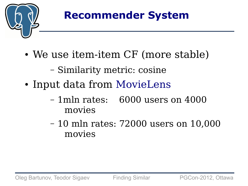

- We use item-item CF (more stable)
	- Similarity metric: cosine
- Input data from [MovieLens](http://www.grouplens.org/node/73)
	- 1mln rates: 6000 users on 4000 movies
	- 10 mln rates: 72000 users on 10,000 movies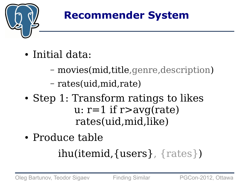

- Initial data:
	- movies(mid,title,genre,description)
	- rates(uid,mid,rate)
- Step 1: Transform ratings to likes u:  $r=1$  if  $r>avg(rate)$ rates(uid,mid,like)
- Produce table

### ihu(itemid,{users}, {rates})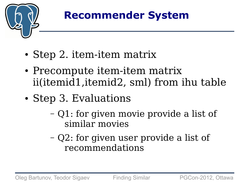

- Step 2. item-item matrix
- Precompute item-item matrix ii(itemid1,itemid2, sml) from ihu table
- Step 3. Evaluations
	- Q1: for given movie provide a list of similar movies
	- Q2: for given user provide a list of recommendations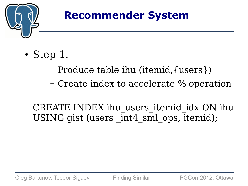

- Step  $1$ .
	- Produce table ihu (itemid,{users})
	- Create index to accelerate % operation

CREATE INDEX ihu users itemid idx ON ihu USING gist (users int4 sml ops, itemid);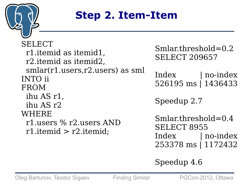

#### **Step 2. Item-Item**

SELECT r1.itemid as itemid1, r2.itemid as itemid2, smlar(r1.users,r2.users) as sml INTO ii FROM ihu AS r1, ihu AS r2 WHERE r1.users % r2.users AND r1.itemid > r2.itemid;

Smlar.threshold=0.2 SELECT 209657

Index | no-index 526195 ms | 1436433

Speedup 2.7

Smlar.threshold=0.4 SELECT 8955 Index | no-index 253378 ms | 1172432

Speedup 4.6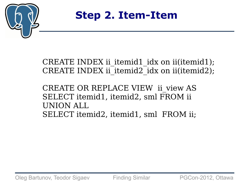

**Step 2. Item-Item**

CREATE INDEX ii itemid1 idx on ii(itemid1); CREATE INDEX ii\_itemid2\_idx on ii(itemid2);

CREATE OR REPLACE VIEW ii\_view AS SELECT itemid1, itemid2, sml FROM ii UNION ALL SELECT itemid2, itemid1, sml FROM ii;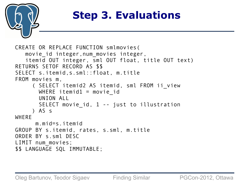

```
CREATE OR REPLACE FUNCTION smlmovies(
   movie id integer, num movies integer,
    itemid OUT integer, sml OUT float, title OUT text)
RETURNS SETOF RECORD AS $$
SELECT s.itemid,s.sml::float, m.title
FROM movies m,
      ( SELECT itemid2 AS itemid, sml FROM ii_view 
       WHERE itemid1 = movie id
        UNION ALL
       SELECT movie id, 1 -- just to illustration
      ) AS s
WHERE
       m.mid=s.itemid
GROUP BY s.itemid, rates, s.sml, m.title
ORDER BY s.sml DESC
LIMIT num movies;
$$ LANGUAGE SQL IMMUTABLE;
```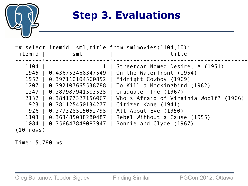

| $=$ # select itemid, sml,title from smlmovies(1104,10);<br>itemid<br>sml                                                                                                                                                                                                               | title                                                                                                                                                                                                                                                                                              |
|----------------------------------------------------------------------------------------------------------------------------------------------------------------------------------------------------------------------------------------------------------------------------------------|----------------------------------------------------------------------------------------------------------------------------------------------------------------------------------------------------------------------------------------------------------------------------------------------------|
| 1104<br>1945<br>0.436752468347549<br>0.397110104560852<br>1952<br>1207<br>0.392107665538788<br>1247<br>0.387987941503525<br>2132<br>0.384177327156067<br>923<br>0.381125450134277<br>926<br>0.377328515052795<br>0.363485038280487<br>1103<br>1084<br>0.356647849082947<br>$(10$ rows) | Streetcar Named Desire, A (1951)<br>On the Waterfront (1954)<br>Midnight Cowboy (1969)<br>To Kill a Mockingbird (1962)<br>Graduate, The (1967)<br>Who's Afraid of Virginia Woolf? (1966)<br>Citizen Kane (1941)<br>All About Eve (1950)<br>Rebel Without a Cause (1955)<br>Bonnie and Clyde (1967) |

Time: 5.780 ms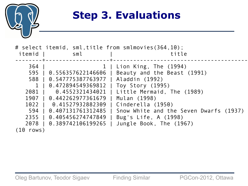

| itemid       | sml                                      | # select itemid, sml, title from smlmovies (364,10);<br>title |
|--------------|------------------------------------------|---------------------------------------------------------------|
|              |                                          |                                                               |
| 364          |                                          | 1   Lion King, The (1994)                                     |
| 595 I        | 0.556357622146606                        | Beauty and the Beast (1991)                                   |
|              | 588   0.547775387763977   Aladdin (1992) |                                                               |
| $\mathbf{1}$ | 0.472894549369812                        | Toy Story (1995)                                              |
| 2081         | 0.4552321434021                          | Little Mermaid, The (1989)                                    |
|              | 1907   0.442262977361679                 | Mulan (1998)                                                  |
|              | 1022   0.41527932882309                  | Cinderella (1950)                                             |
| 594          | 0.407131761312485                        | Snow White and the Seven Dwarfs (1937)                        |
| 2355         | 0.405456274747849                        | Bug's Life, A (1998)                                          |
| 2078         | 0.389742106199265                        | Jungle Book, The (1967)                                       |
| $(10$ rows)  |                                          |                                                               |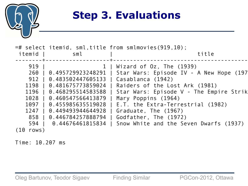

| itemid      | sml                                                                                                                                                                                      | $=$ # select itemid, sml, title from smlmovies $(919, 10)$ ;<br>title                                                                                                                                                                                                                                                                                                                       |
|-------------|------------------------------------------------------------------------------------------------------------------------------------------------------------------------------------------|---------------------------------------------------------------------------------------------------------------------------------------------------------------------------------------------------------------------------------------------------------------------------------------------------------------------------------------------------------------------------------------------|
|             |                                                                                                                                                                                          |                                                                                                                                                                                                                                                                                                                                                                                             |
| 919         | 912   0.483502447605133   Casablanca (1942)<br>1196   0.468295514583588  <br>1028   0.460547566413879<br>1097   0.455985635519028<br>1247   0.449493944644928<br>858   0.446784257888794 | 1   Wizard of Oz, The (1939)<br>260   0.495729923248291   Star Wars: Episode IV - A New Hope (197<br>1198   0.481675773859024   Raiders of the Lost Ark (1981)<br>  Star Wars: Episode V - The Empire Strik<br>Mary Poppins (1964)<br>E.T. the Extra-Terrestrial (1982)<br>Graduate, The (1967)<br>Godfather, The (1972)<br>594   0.44676461815834   Snow White and the Seven Dwarfs (1937) |
| $(10$ rows) |                                                                                                                                                                                          |                                                                                                                                                                                                                                                                                                                                                                                             |

Time: 10.207 ms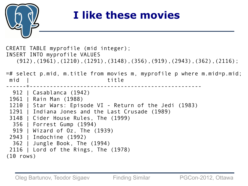

#### **I like these movies**

CREATE TABLE myprofile (mid integer); INSERT INTO myprofile VALUES (912),(1961),(1210),(1291),(3148),(356),(919),(2943),(362),(2116); =# select p.mid, m.title from movies m, myprofile p where m.mid=p.mid; mid | title ------+--------------------------------------------------- 912 | Casablanca (1942) 1961 | Rain Man (1988) 1210 | Star Wars: Episode VI - Return of the Jedi (1983) 1291 | Indiana Jones and the Last Crusade (1989) 3148 | Cider House Rules, The (1999) 356 | Forrest Gump (1994) 919 | Wizard of Oz, The (1939) 2943 | Indochine (1992) 362 | Jungle Book, The (1994) 2116 | Lord of the Rings, The (1978) (10 rows)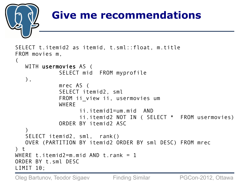

```
FROM ii view ii, usermovies um
               WHFRF
                       ii.itemid1=um.mid AND 
                      ii.itemid2 NOT IN ( SELECT * FROM usermovies)
               ORDER BY itemid<sub>2</sub> ASC
\overline{\phantom{a}} SELECT itemid2, sml, rank() 
    OVER (PARTITION BY itemid2 ORDER BY sml DESC) FROM mrec
\prime t
WHERE t. itemid2=m. mid AND t. rank = 1
ORDER BY t.sml DESC
LIMIT 10;
```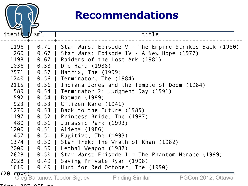

#### **Recommendations**

| itemid        | sml         | title                                                                                                            |
|---------------|-------------|------------------------------------------------------------------------------------------------------------------|
| 1196  <br>260 |             | 0.71   Star Wars: Episode V - The Empire Strikes Back (1980)<br>0.67   Star Wars: Episode IV - A New Hope (1977) |
| 1198          |             | 0.67   Raiders of the Lost Ark (1981)                                                                            |
|               |             | 1036   0.58   Die Hard (1988)                                                                                    |
|               |             | 2571   0.57   Matrix, The (1999)                                                                                 |
|               |             | 1240   0.56   Terminator, The (1984)                                                                             |
|               |             | 2115   0.56   Indiana Jones and the Temple of Doom (1984)                                                        |
|               |             | 589   0.54   Terminator 2: Judgment Day (1991)                                                                   |
|               |             | 592   0.54   Batman (1989)                                                                                       |
|               |             | 923   0.53   Citizen Kane (1941)                                                                                 |
|               |             | 1270   0.53   Back to the Future (1985)                                                                          |
|               |             | 1197   0.52   Princess Bride, The (1987)                                                                         |
|               |             | 480   0.51   Jurassic Park (1993)                                                                                |
|               |             | 1200   0.51   Aliens (1986)                                                                                      |
|               |             | 457   0.51   Fugitive, The (1993)                                                                                |
|               |             | 1374   0.50   Star Trek: The Wrath of Khan (1982)                                                                |
|               |             | 2000   0.50   Lethal Weapon (1987)                                                                               |
|               | 2628   0.50 | Star Wars: Episode I - The Phantom Menace (1999)                                                                 |
|               | 2028   0.49 | Saving Private Ryan (1998)                                                                                       |
| 1610          | $0.49$      | Hunt for Red October, The (1990)                                                                                 |
| $(20$ rows)   |             | PGCon-2012, Ottawa<br>Oleg Bartunov, Teodor Sigaev<br><b>Finding Similar</b>                                     |

 $T: max.$  207.065 ms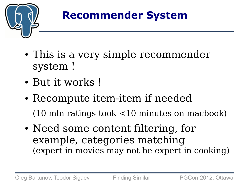

- This is a very simple recommender system !
- But it works !
- Recompute item-item if needed (10 mln ratings took <10 minutes on macbook)
- Need some content filtering, for example, categories matching (expert in movies may not be expert in cooking)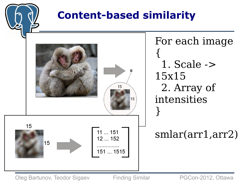

Oleg Bartunov, Teodor Sigaev Finding Similar PGCon-2012, Ottawa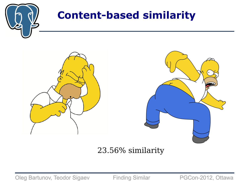

#### **Content-based similarity**



#### 23.56% similarity